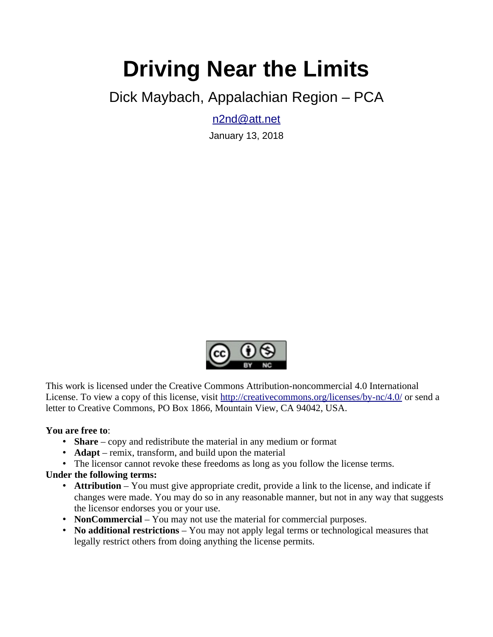# **Driving Near the Limits**

Dick Maybach, Appalachian Region – PCA

[n2nd@att.net](mailto:n2nd@att.net)

January 13, 2018



This work is licensed under the Creative Commons Attribution-noncommercial 4.0 International License. To view a copy of this license, visit<http://creativecommons.org/licenses/by-nc/4.0/>or send a letter to Creative Commons, PO Box 1866, Mountain View, CA 94042, USA.

#### **You are free to**:

- **Share** copy and redistribute the material in any medium or format
- **Adapt** remix, transform, and build upon the material
- The licensor cannot revoke these freedoms as long as you follow the license terms.

#### **Under the following terms:**

- **Attribution** You must give appropriate credit, provide a link to the license, and indicate if changes were made. You may do so in any reasonable manner, but not in any way that suggests the licensor endorses you or your use.
- **NonCommercial** You may not use the material for commercial purposes.
- **No additional restrictions** You may not apply legal terms or technological measures that legally restrict others from doing anything the license permits.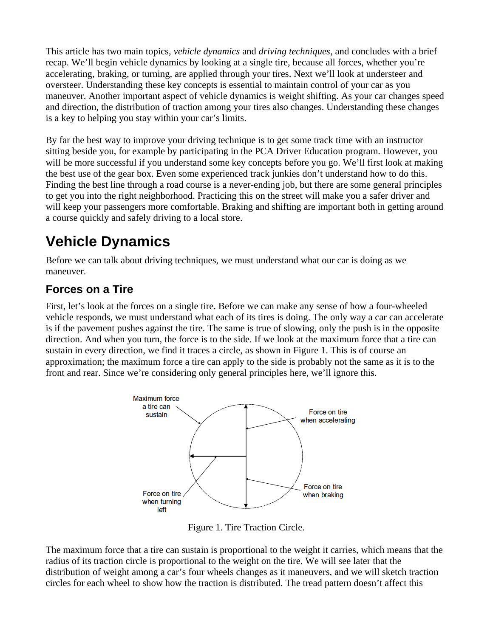This article has two main topics, *vehicle dynamics* and *driving techniques*, and concludes with a brief recap. We'll begin vehicle dynamics by looking at a single tire, because all forces, whether you're accelerating, braking, or turning, are applied through your tires. Next we'll look at understeer and oversteer. Understanding these key concepts is essential to maintain control of your car as you maneuver. Another important aspect of vehicle dynamics is weight shifting. As your car changes speed and direction, the distribution of traction among your tires also changes. Understanding these changes is a key to helping you stay within your car's limits.

By far the best way to improve your driving technique is to get some track time with an instructor sitting beside you, for example by participating in the PCA Driver Education program. However, you will be more successful if you understand some key concepts before you go. We'll first look at making the best use of the gear box. Even some experienced track junkies don't understand how to do this. Finding the best line through a road course is a never-ending job, but there are some general principles to get you into the right neighborhood. Practicing this on the street will make you a safer driver and will keep your passengers more comfortable. Braking and shifting are important both in getting around a course quickly and safely driving to a local store.

## **Vehicle Dynamics**

Before we can talk about driving techniques, we must understand what our car is doing as we maneuver.

### **Forces on a Tire**

First, let's look at the forces on a single tire. Before we can make any sense of how a four-wheeled vehicle responds, we must understand what each of its tires is doing. The only way a car can accelerate is if the pavement pushes against the tire. The same is true of slowing, only the push is in the opposite direction. And when you turn, the force is to the side. If we look at the maximum force that a tire can sustain in every direction, we find it traces a circle, as shown in Figure 1. This is of course an approximation; the maximum force a tire can apply to the side is probably not the same as it is to the front and rear. Since we're considering only general principles here, we'll ignore this.



Figure 1. Tire Traction Circle.

The maximum force that a tire can sustain is proportional to the weight it carries, which means that the radius of its traction circle is proportional to the weight on the tire. We will see later that the distribution of weight among a car's four wheels changes as it maneuvers, and we will sketch traction circles for each wheel to show how the traction is distributed. The tread pattern doesn't affect this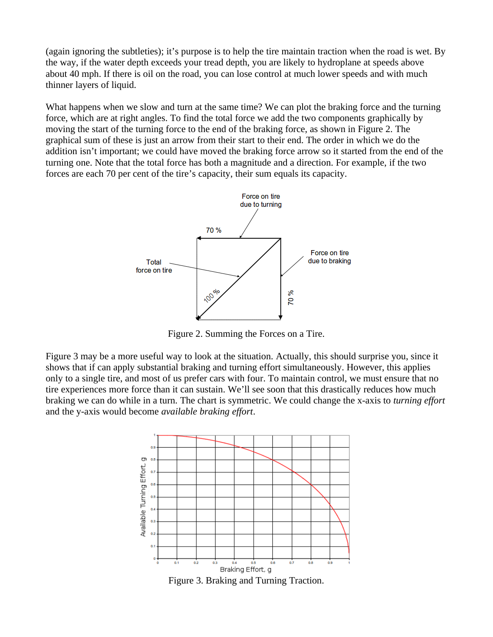(again ignoring the subtleties); it's purpose is to help the tire maintain traction when the road is wet. By the way, if the water depth exceeds your tread depth, you are likely to hydroplane at speeds above about 40 mph. If there is oil on the road, you can lose control at much lower speeds and with much thinner layers of liquid.

What happens when we slow and turn at the same time? We can plot the braking force and the turning force, which are at right angles. To find the total force we add the two components graphically by moving the start of the turning force to the end of the braking force, as shown in Figure 2. The graphical sum of these is just an arrow from their start to their end. The order in which we do the addition isn't important; we could have moved the braking force arrow so it started from the end of the turning one. Note that the total force has both a magnitude and a direction. For example, if the two forces are each 70 per cent of the tire's capacity, their sum equals its capacity.



Figure 2. Summing the Forces on a Tire.

Figure 3 may be a more useful way to look at the situation. Actually, this should surprise you, since it shows that if can apply substantial braking and turning effort simultaneously. However, this applies only to a single tire, and most of us prefer cars with four. To maintain control, we must ensure that no tire experiences more force than it can sustain. We'll see soon that this drastically reduces how much braking we can do while in a turn. The chart is symmetric. We could change the x-axis to *turning effort* and the y-axis would become *available braking effort*.



Figure 3. Braking and Turning Traction.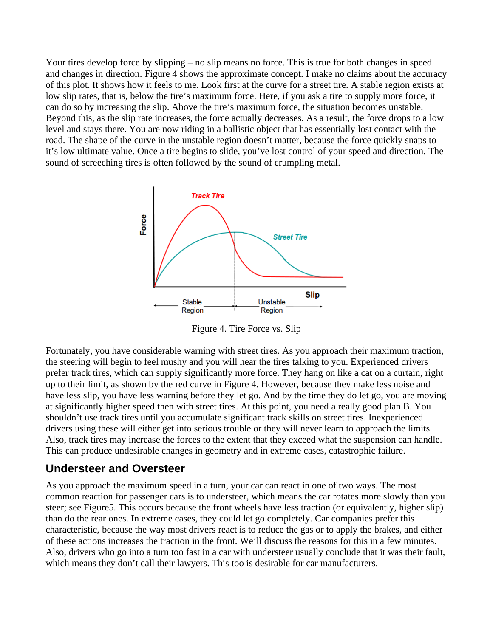Your tires develop force by slipping – no slip means no force. This is true for both changes in speed and changes in direction. Figure 4 shows the approximate concept. I make no claims about the accuracy of this plot. It shows how it feels to me. Look first at the curve for a street tire. A stable region exists at low slip rates, that is, below the tire's maximum force. Here, if you ask a tire to supply more force, it can do so by increasing the slip. Above the tire's maximum force, the situation becomes unstable. Beyond this, as the slip rate increases, the force actually decreases. As a result, the force drops to a low level and stays there. You are now riding in a ballistic object that has essentially lost contact with the road. The shape of the curve in the unstable region doesn't matter, because the force quickly snaps to it's low ultimate value. Once a tire begins to slide, you've lost control of your speed and direction. The sound of screeching tires is often followed by the sound of crumpling metal.



Figure 4. Tire Force vs. Slip

Fortunately, you have considerable warning with street tires. As you approach their maximum traction, the steering will begin to feel mushy and you will hear the tires talking to you. Experienced drivers prefer track tires, which can supply significantly more force. They hang on like a cat on a curtain, right up to their limit, as shown by the red curve in Figure 4. However, because they make less noise and have less slip, you have less warning before they let go. And by the time they do let go, you are moving at significantly higher speed then with street tires. At this point, you need a really good plan B. You shouldn't use track tires until you accumulate significant track skills on street tires. Inexperienced drivers using these will either get into serious trouble or they will never learn to approach the limits. Also, track tires may increase the forces to the extent that they exceed what the suspension can handle. This can produce undesirable changes in geometry and in extreme cases, catastrophic failure.

### **Understeer and Oversteer**

As you approach the maximum speed in a turn, your car can react in one of two ways. The most common reaction for passenger cars is to understeer, which means the car rotates more slowly than you steer; see Figure5. This occurs because the front wheels have less traction (or equivalently, higher slip) than do the rear ones. In extreme cases, they could let go completely. Car companies prefer this characteristic, because the way most drivers react is to reduce the gas or to apply the brakes, and either of these actions increases the traction in the front. We'll discuss the reasons for this in a few minutes. Also, drivers who go into a turn too fast in a car with understeer usually conclude that it was their fault, which means they don't call their lawyers. This too is desirable for car manufacturers.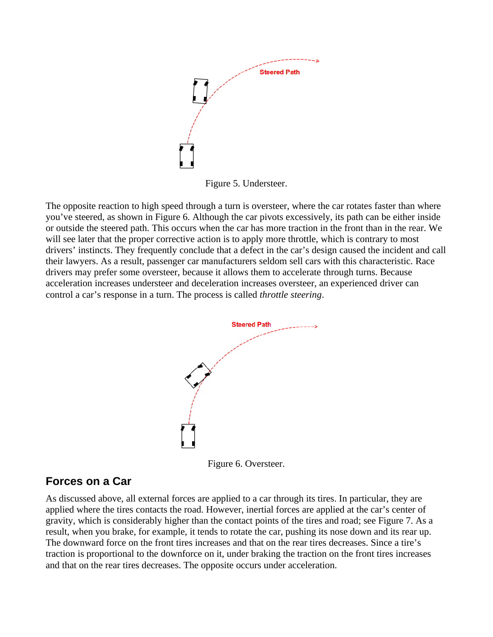

Figure 5. Understeer.

The opposite reaction to high speed through a turn is oversteer, where the car rotates faster than where you've steered, as shown in Figure 6. Although the car pivots excessively, its path can be either inside or outside the steered path. This occurs when the car has more traction in the front than in the rear. We will see later that the proper corrective action is to apply more throttle, which is contrary to most drivers' instincts. They frequently conclude that a defect in the car's design caused the incident and call their lawyers. As a result, passenger car manufacturers seldom sell cars with this characteristic. Race drivers may prefer some oversteer, because it allows them to accelerate through turns. Because acceleration increases understeer and deceleration increases oversteer, an experienced driver can control a car's response in a turn. The process is called *throttle steering*.



Figure 6. Oversteer.

### **Forces on a Car**

As discussed above, all external forces are applied to a car through its tires. In particular, they are applied where the tires contacts the road. However, inertial forces are applied at the car's center of gravity, which is considerably higher than the contact points of the tires and road; see Figure 7. As a result, when you brake, for example, it tends to rotate the car, pushing its nose down and its rear up. The downward force on the front tires increases and that on the rear tires decreases. Since a tire's traction is proportional to the downforce on it, under braking the traction on the front tires increases and that on the rear tires decreases. The opposite occurs under acceleration.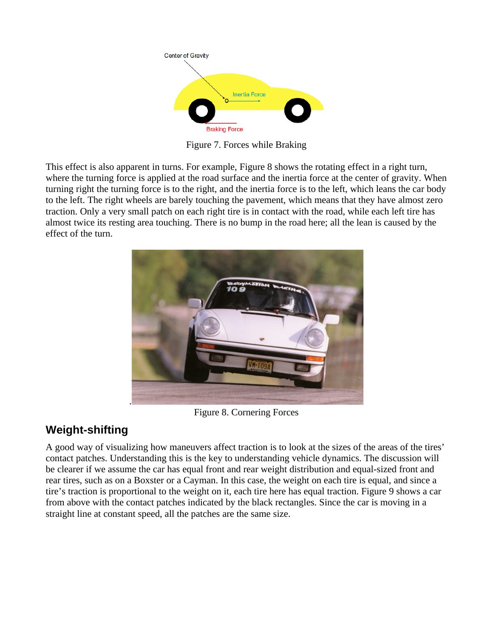

Figure 7. Forces while Braking

This effect is also apparent in turns. For example, Figure 8 shows the rotating effect in a right turn, where the turning force is applied at the road surface and the inertia force at the center of gravity. When turning right the turning force is to the right, and the inertia force is to the left, which leans the car body to the left. The right wheels are barely touching the pavement, which means that they have almost zero traction. Only a very small patch on each right tire is in contact with the road, while each left tire has almost twice its resting area touching. There is no bump in the road here; all the lean is caused by the effect of the turn.



Figure 8. Cornering Forces

### **Weight-shifting**

A good way of visualizing how maneuvers affect traction is to look at the sizes of the areas of the tires' contact patches. Understanding this is the key to understanding vehicle dynamics. The discussion will be clearer if we assume the car has equal front and rear weight distribution and equal-sized front and rear tires, such as on a Boxster or a Cayman. In this case, the weight on each tire is equal, and since a tire's traction is proportional to the weight on it, each tire here has equal traction. Figure 9 shows a car from above with the contact patches indicated by the black rectangles. Since the car is moving in a straight line at constant speed, all the patches are the same size.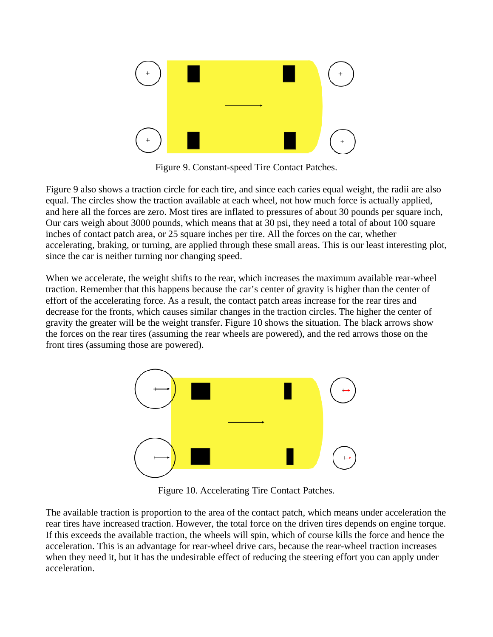

Figure 9. Constant-speed Tire Contact Patches.

Figure 9 also shows a traction circle for each tire, and since each caries equal weight, the radii are also equal. The circles show the traction available at each wheel, not how much force is actually applied, and here all the forces are zero. Most tires are inflated to pressures of about 30 pounds per square inch, Our cars weigh about 3000 pounds, which means that at 30 psi, they need a total of about 100 square inches of contact patch area, or 25 square inches per tire. All the forces on the car, whether accelerating, braking, or turning, are applied through these small areas. This is our least interesting plot, since the car is neither turning nor changing speed.

When we accelerate, the weight shifts to the rear, which increases the maximum available rear-wheel traction. Remember that this happens because the car's center of gravity is higher than the center of effort of the accelerating force. As a result, the contact patch areas increase for the rear tires and decrease for the fronts, which causes similar changes in the traction circles. The higher the center of gravity the greater will be the weight transfer. Figure 10 shows the situation. The black arrows show the forces on the rear tires (assuming the rear wheels are powered), and the red arrows those on the front tires (assuming those are powered).



Figure 10. Accelerating Tire Contact Patches.

The available traction is proportion to the area of the contact patch, which means under acceleration the rear tires have increased traction. However, the total force on the driven tires depends on engine torque. If this exceeds the available traction, the wheels will spin, which of course kills the force and hence the acceleration. This is an advantage for rear-wheel drive cars, because the rear-wheel traction increases when they need it, but it has the undesirable effect of reducing the steering effort you can apply under acceleration.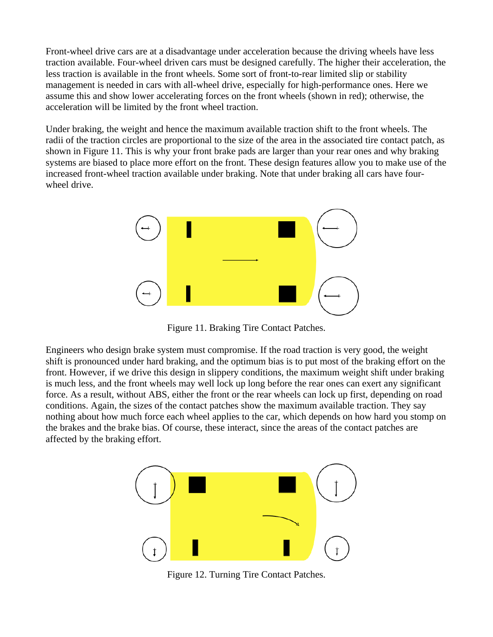Front-wheel drive cars are at a disadvantage under acceleration because the driving wheels have less traction available. Four-wheel driven cars must be designed carefully. The higher their acceleration, the less traction is available in the front wheels. Some sort of front-to-rear limited slip or stability management is needed in cars with all-wheel drive, especially for high-performance ones. Here we assume this and show lower accelerating forces on the front wheels (shown in red); otherwise, the acceleration will be limited by the front wheel traction.

Under braking, the weight and hence the maximum available traction shift to the front wheels. The radii of the traction circles are proportional to the size of the area in the associated tire contact patch, as shown in Figure 11. This is why your front brake pads are larger than your rear ones and why braking systems are biased to place more effort on the front. These design features allow you to make use of the increased front-wheel traction available under braking. Note that under braking all cars have fourwheel drive.



Figure 11. Braking Tire Contact Patches.

Engineers who design brake system must compromise. If the road traction is very good, the weight shift is pronounced under hard braking, and the optimum bias is to put most of the braking effort on the front. However, if we drive this design in slippery conditions, the maximum weight shift under braking is much less, and the front wheels may well lock up long before the rear ones can exert any significant force. As a result, without ABS, either the front or the rear wheels can lock up first, depending on road conditions. Again, the sizes of the contact patches show the maximum available traction. They say nothing about how much force each wheel applies to the car, which depends on how hard you stomp on the brakes and the brake bias. Of course, these interact, since the areas of the contact patches are affected by the braking effort.



Figure 12. Turning Tire Contact Patches.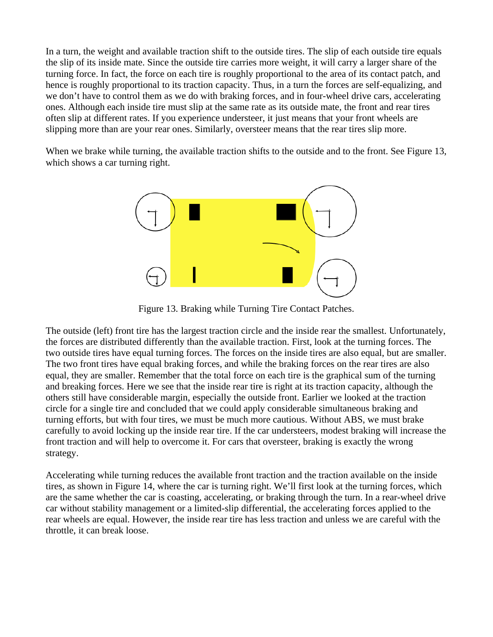In a turn, the weight and available traction shift to the outside tires. The slip of each outside tire equals the slip of its inside mate. Since the outside tire carries more weight, it will carry a larger share of the turning force. In fact, the force on each tire is roughly proportional to the area of its contact patch, and hence is roughly proportional to its traction capacity. Thus, in a turn the forces are self-equalizing, and we don't have to control them as we do with braking forces, and in four-wheel drive cars, accelerating ones. Although each inside tire must slip at the same rate as its outside mate, the front and rear tires often slip at different rates. If you experience understeer, it just means that your front wheels are slipping more than are your rear ones. Similarly, oversteer means that the rear tires slip more.

When we brake while turning, the available traction shifts to the outside and to the front. See Figure 13, which shows a car turning right.



Figure 13. Braking while Turning Tire Contact Patches.

The outside (left) front tire has the largest traction circle and the inside rear the smallest. Unfortunately, the forces are distributed differently than the available traction. First, look at the turning forces. The two outside tires have equal turning forces. The forces on the inside tires are also equal, but are smaller. The two front tires have equal braking forces, and while the braking forces on the rear tires are also equal, they are smaller. Remember that the total force on each tire is the graphical sum of the turning and breaking forces. Here we see that the inside rear tire is right at its traction capacity, although the others still have considerable margin, especially the outside front. Earlier we looked at the traction circle for a single tire and concluded that we could apply considerable simultaneous braking and turning efforts, but with four tires, we must be much more cautious. Without ABS, we must brake carefully to avoid locking up the inside rear tire. If the car understeers, modest braking will increase the front traction and will help to overcome it. For cars that oversteer, braking is exactly the wrong strategy.

Accelerating while turning reduces the available front traction and the traction available on the inside tires, as shown in Figure 14, where the car is turning right. We'll first look at the turning forces, which are the same whether the car is coasting, accelerating, or braking through the turn. In a rear-wheel drive car without stability management or a limited-slip differential, the accelerating forces applied to the rear wheels are equal. However, the inside rear tire has less traction and unless we are careful with the throttle, it can break loose.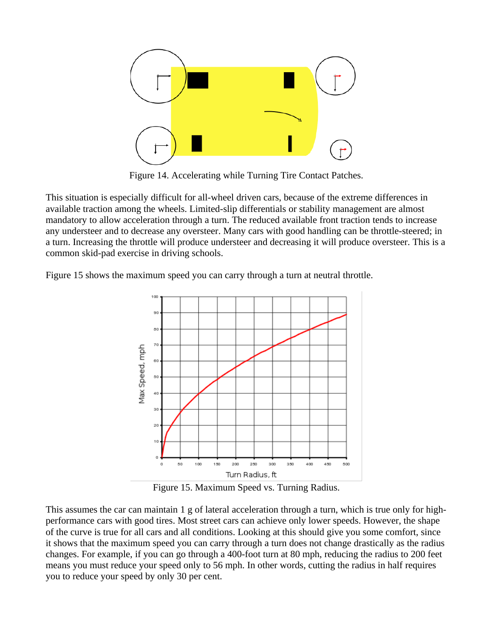

Figure 14. Accelerating while Turning Tire Contact Patches.

This situation is especially difficult for all-wheel driven cars, because of the extreme differences in available traction among the wheels. Limited-slip differentials or stability management are almost mandatory to allow acceleration through a turn. The reduced available front traction tends to increase any understeer and to decrease any oversteer. Many cars with good handling can be throttle-steered; in a turn. Increasing the throttle will produce understeer and decreasing it will produce oversteer. This is a common skid-pad exercise in driving schools.

Figure 15 shows the maximum speed you can carry through a turn at neutral throttle.



Figure 15. Maximum Speed vs. Turning Radius.

This assumes the car can maintain 1 g of lateral acceleration through a turn, which is true only for highperformance cars with good tires. Most street cars can achieve only lower speeds. However, the shape of the curve is true for all cars and all conditions. Looking at this should give you some comfort, since it shows that the maximum speed you can carry through a turn does not change drastically as the radius changes. For example, if you can go through a 400-foot turn at 80 mph, reducing the radius to 200 feet means you must reduce your speed only to 56 mph. In other words, cutting the radius in half requires you to reduce your speed by only 30 per cent.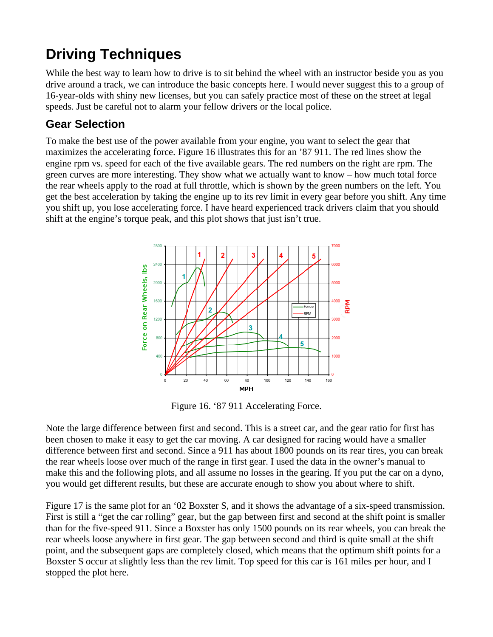# **Driving Techniques**

While the best way to learn how to drive is to sit behind the wheel with an instructor beside you as you drive around a track, we can introduce the basic concepts here. I would never suggest this to a group of 16-year-olds with shiny new licenses, but you can safely practice most of these on the street at legal speeds. Just be careful not to alarm your fellow drivers or the local police.

### **Gear Selection**

To make the best use of the power available from your engine, you want to select the gear that maximizes the accelerating force. Figure 16 illustrates this for an '87 911. The red lines show the engine rpm vs. speed for each of the five available gears. The red numbers on the right are rpm. The green curves are more interesting. They show what we actually want to know – how much total force the rear wheels apply to the road at full throttle, which is shown by the green numbers on the left. You get the best acceleration by taking the engine up to its rev limit in every gear before you shift. Any time you shift up, you lose accelerating force. I have heard experienced track drivers claim that you should shift at the engine's torque peak, and this plot shows that just isn't true.



Figure 16. '87 911 Accelerating Force.

Note the large difference between first and second. This is a street car, and the gear ratio for first has been chosen to make it easy to get the car moving. A car designed for racing would have a smaller difference between first and second. Since a 911 has about 1800 pounds on its rear tires, you can break the rear wheels loose over much of the range in first gear. I used the data in the owner's manual to make this and the following plots, and all assume no losses in the gearing. If you put the car on a dyno, you would get different results, but these are accurate enough to show you about where to shift.

Figure 17 is the same plot for an '02 Boxster S, and it shows the advantage of a six-speed transmission. First is still a "get the car rolling" gear, but the gap between first and second at the shift point is smaller than for the five-speed 911. Since a Boxster has only 1500 pounds on its rear wheels, you can break the rear wheels loose anywhere in first gear. The gap between second and third is quite small at the shift point, and the subsequent gaps are completely closed, which means that the optimum shift points for a Boxster S occur at slightly less than the rev limit. Top speed for this car is 161 miles per hour, and I stopped the plot here.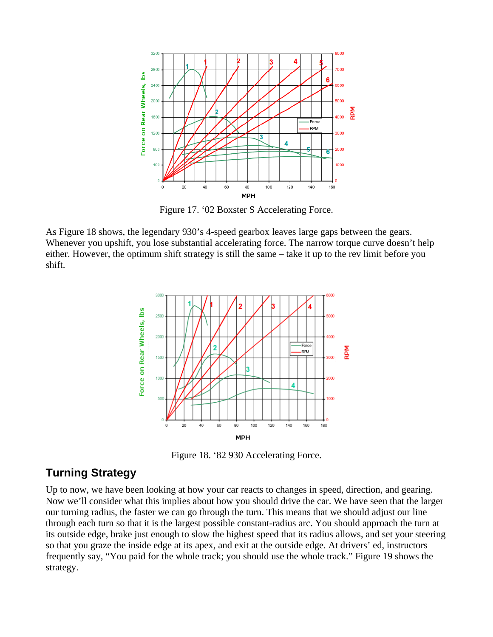

Figure 17. '02 Boxster S Accelerating Force.

As Figure 18 shows, the legendary 930's 4-speed gearbox leaves large gaps between the gears. Whenever you upshift, you lose substantial accelerating force. The narrow torque curve doesn't help either. However, the optimum shift strategy is still the same – take it up to the rev limit before you shift.



Figure 18. '82 930 Accelerating Force.

### **Turning Strategy**

Up to now, we have been looking at how your car reacts to changes in speed, direction, and gearing. Now we'll consider what this implies about how you should drive the car. We have seen that the larger our turning radius, the faster we can go through the turn. This means that we should adjust our line through each turn so that it is the largest possible constant-radius arc. You should approach the turn at its outside edge, brake just enough to slow the highest speed that its radius allows, and set your steering so that you graze the inside edge at its apex, and exit at the outside edge. At drivers' ed, instructors frequently say, "You paid for the whole track; you should use the whole track." Figure 19 shows the strategy.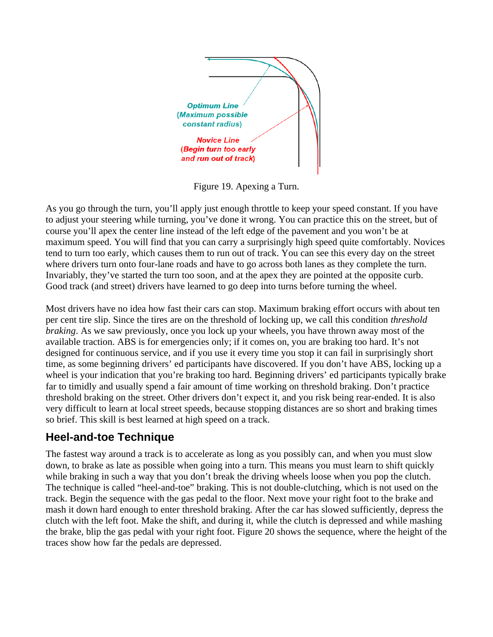

Figure 19. Apexing a Turn.

As you go through the turn, you'll apply just enough throttle to keep your speed constant. If you have to adjust your steering while turning, you've done it wrong. You can practice this on the street, but of course you'll apex the center line instead of the left edge of the pavement and you won't be at maximum speed. You will find that you can carry a surprisingly high speed quite comfortably. Novices tend to turn too early, which causes them to run out of track. You can see this every day on the street where drivers turn onto four-lane roads and have to go across both lanes as they complete the turn. Invariably, they've started the turn too soon, and at the apex they are pointed at the opposite curb. Good track (and street) drivers have learned to go deep into turns before turning the wheel.

Most drivers have no idea how fast their cars can stop. Maximum braking effort occurs with about ten per cent tire slip. Since the tires are on the threshold of locking up, we call this condition *threshold braking*. As we saw previously, once you lock up your wheels, you have thrown away most of the available traction. ABS is for emergencies only; if it comes on, you are braking too hard. It's not designed for continuous service, and if you use it every time you stop it can fail in surprisingly short time, as some beginning drivers' ed participants have discovered. If you don't have ABS, locking up a wheel is your indication that you're braking too hard. Beginning drivers' ed participants typically brake far to timidly and usually spend a fair amount of time working on threshold braking. Don't practice threshold braking on the street. Other drivers don't expect it, and you risk being rear-ended. It is also very difficult to learn at local street speeds, because stopping distances are so short and braking times so brief. This skill is best learned at high speed on a track.

### **Heel-and-toe Technique**

The fastest way around a track is to accelerate as long as you possibly can, and when you must slow down, to brake as late as possible when going into a turn. This means you must learn to shift quickly while braking in such a way that you don't break the driving wheels loose when you pop the clutch. The technique is called "heel-and-toe" braking. This is not double-clutching, which is not used on the track. Begin the sequence with the gas pedal to the floor. Next move your right foot to the brake and mash it down hard enough to enter threshold braking. After the car has slowed sufficiently, depress the clutch with the left foot. Make the shift, and during it, while the clutch is depressed and while mashing the brake, blip the gas pedal with your right foot. Figure 20 shows the sequence, where the height of the traces show how far the pedals are depressed.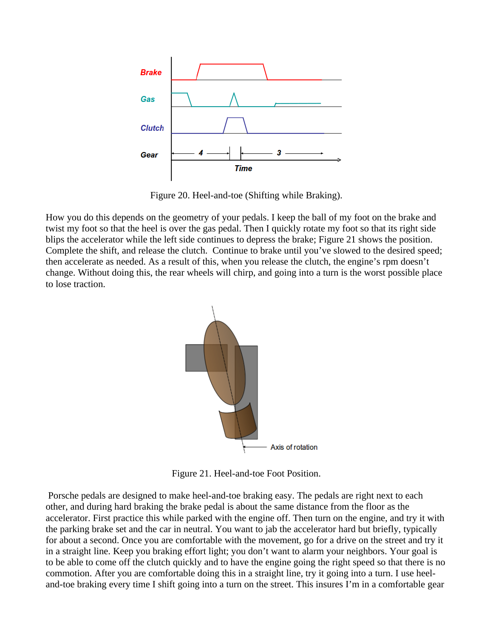

Figure 20. Heel-and-toe (Shifting while Braking).

How you do this depends on the geometry of your pedals. I keep the ball of my foot on the brake and twist my foot so that the heel is over the gas pedal. Then I quickly rotate my foot so that its right side blips the accelerator while the left side continues to depress the brake; Figure 21 shows the position. Complete the shift, and release the clutch. Continue to brake until you've slowed to the desired speed; then accelerate as needed. As a result of this, when you release the clutch, the engine's rpm doesn't change. Without doing this, the rear wheels will chirp, and going into a turn is the worst possible place to lose traction.



Figure 21. Heel-and-toe Foot Position.

 Porsche pedals are designed to make heel-and-toe braking easy. The pedals are right next to each other, and during hard braking the brake pedal is about the same distance from the floor as the accelerator. First practice this while parked with the engine off. Then turn on the engine, and try it with the parking brake set and the car in neutral. You want to jab the accelerator hard but briefly, typically for about a second. Once you are comfortable with the movement, go for a drive on the street and try it in a straight line. Keep you braking effort light; you don't want to alarm your neighbors. Your goal is to be able to come off the clutch quickly and to have the engine going the right speed so that there is no commotion. After you are comfortable doing this in a straight line, try it going into a turn. I use heeland-toe braking every time I shift going into a turn on the street. This insures I'm in a comfortable gear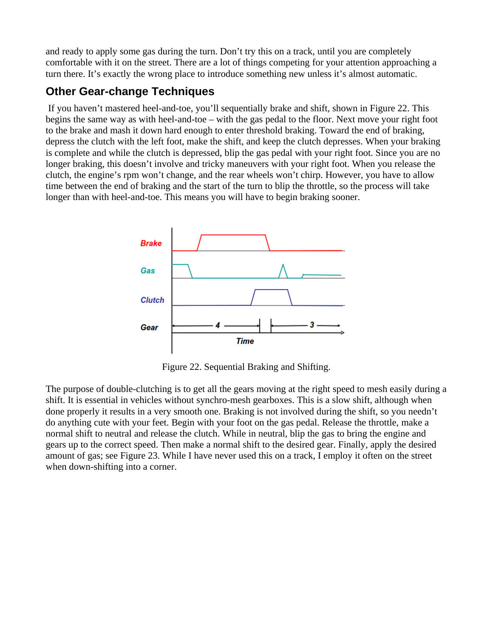and ready to apply some gas during the turn. Don't try this on a track, until you are completely comfortable with it on the street. There are a lot of things competing for your attention approaching a turn there. It's exactly the wrong place to introduce something new unless it's almost automatic.

### **Other Gear-change Techniques**

 If you haven't mastered heel-and-toe, you'll sequentially brake and shift, shown in Figure 22. This begins the same way as with heel-and-toe – with the gas pedal to the floor. Next move your right foot to the brake and mash it down hard enough to enter threshold braking. Toward the end of braking, depress the clutch with the left foot, make the shift, and keep the clutch depresses. When your braking is complete and while the clutch is depressed, blip the gas pedal with your right foot. Since you are no longer braking, this doesn't involve and tricky maneuvers with your right foot. When you release the clutch, the engine's rpm won't change, and the rear wheels won't chirp. However, you have to allow time between the end of braking and the start of the turn to blip the throttle, so the process will take longer than with heel-and-toe. This means you will have to begin braking sooner.



Figure 22. Sequential Braking and Shifting.

The purpose of double-clutching is to get all the gears moving at the right speed to mesh easily during a shift. It is essential in vehicles without synchro-mesh gearboxes. This is a slow shift, although when done properly it results in a very smooth one. Braking is not involved during the shift, so you needn't do anything cute with your feet. Begin with your foot on the gas pedal. Release the throttle, make a normal shift to neutral and release the clutch. While in neutral, blip the gas to bring the engine and gears up to the correct speed. Then make a normal shift to the desired gear. Finally, apply the desired amount of gas; see Figure 23. While I have never used this on a track, I employ it often on the street when down-shifting into a corner.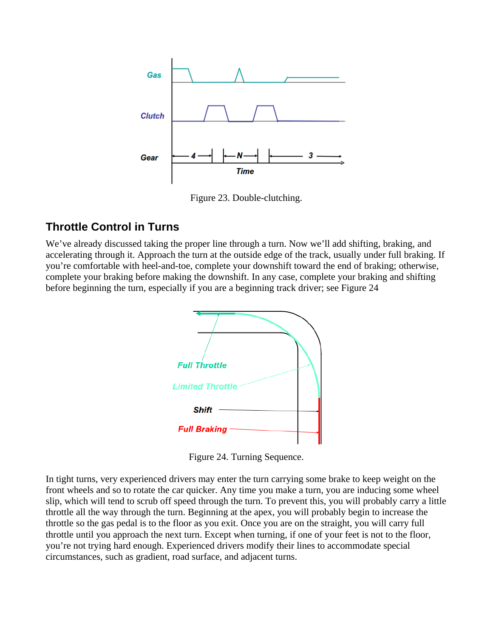

Figure 23. Double-clutching.

### **Throttle Control in Turns**

We've already discussed taking the proper line through a turn. Now we'll add shifting, braking, and accelerating through it. Approach the turn at the outside edge of the track, usually under full braking. If you're comfortable with heel-and-toe, complete your downshift toward the end of braking; otherwise, complete your braking before making the downshift. In any case, complete your braking and shifting before beginning the turn, especially if you are a beginning track driver; see Figure 24



Figure 24. Turning Sequence.

In tight turns, very experienced drivers may enter the turn carrying some brake to keep weight on the front wheels and so to rotate the car quicker. Any time you make a turn, you are inducing some wheel slip, which will tend to scrub off speed through the turn. To prevent this, you will probably carry a little throttle all the way through the turn. Beginning at the apex, you will probably begin to increase the throttle so the gas pedal is to the floor as you exit. Once you are on the straight, you will carry full throttle until you approach the next turn. Except when turning, if one of your feet is not to the floor, you're not trying hard enough. Experienced drivers modify their lines to accommodate special circumstances, such as gradient, road surface, and adjacent turns.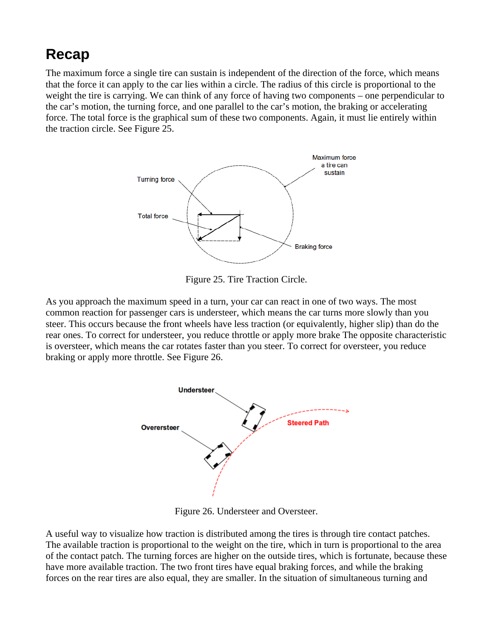### **Recap**

The maximum force a single tire can sustain is independent of the direction of the force, which means that the force it can apply to the car lies within a circle. The radius of this circle is proportional to the weight the tire is carrying. We can think of any force of having two components – one perpendicular to the car's motion, the turning force, and one parallel to the car's motion, the braking or accelerating force. The total force is the graphical sum of these two components. Again, it must lie entirely within the traction circle. See Figure 25.



Figure 25. Tire Traction Circle.

As you approach the maximum speed in a turn, your car can react in one of two ways. The most common reaction for passenger cars is understeer, which means the car turns more slowly than you steer. This occurs because the front wheels have less traction (or equivalently, higher slip) than do the rear ones. To correct for understeer, you reduce throttle or apply more brake The opposite characteristic is oversteer, which means the car rotates faster than you steer. To correct for oversteer, you reduce braking or apply more throttle. See Figure 26.



Figure 26. Understeer and Oversteer.

A useful way to visualize how traction is distributed among the tires is through tire contact patches. The available traction is proportional to the weight on the tire, which in turn is proportional to the area of the contact patch. The turning forces are higher on the outside tires, which is fortunate, because these have more available traction. The two front tires have equal braking forces, and while the braking forces on the rear tires are also equal, they are smaller. In the situation of simultaneous turning and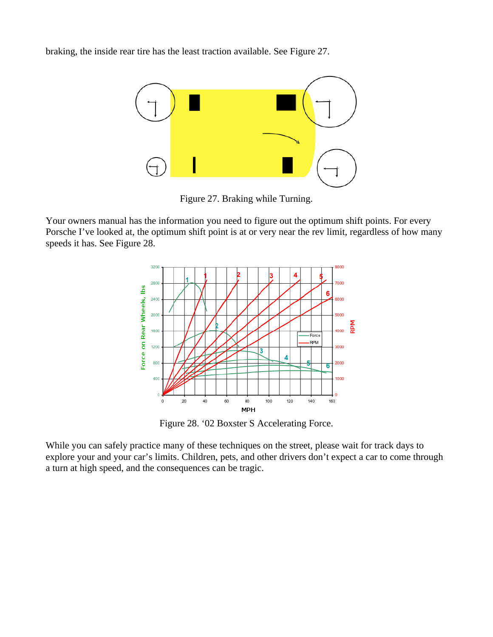braking, the inside rear tire has the least traction available. See Figure 27.



Figure 27. Braking while Turning.

Your owners manual has the information you need to figure out the optimum shift points. For every Porsche I've looked at, the optimum shift point is at or very near the rev limit, regardless of how many speeds it has. See Figure 28.



Figure 28. '02 Boxster S Accelerating Force.

While you can safely practice many of these techniques on the street, please wait for track days to explore your and your car's limits. Children, pets, and other drivers don't expect a car to come through a turn at high speed, and the consequences can be tragic.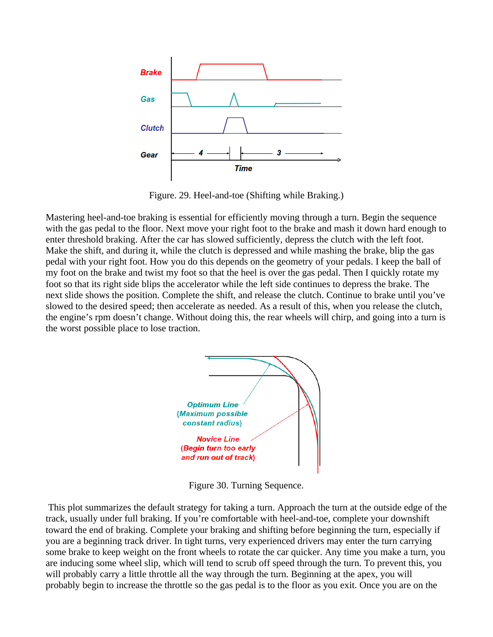

Figure. 29. Heel-and-toe (Shifting while Braking.)

Mastering heel-and-toe braking is essential for efficiently moving through a turn. Begin the sequence with the gas pedal to the floor. Next move your right foot to the brake and mash it down hard enough to enter threshold braking. After the car has slowed sufficiently, depress the clutch with the left foot. Make the shift, and during it, while the clutch is depressed and while mashing the brake, blip the gas pedal with your right foot. How you do this depends on the geometry of your pedals. I keep the ball of my foot on the brake and twist my foot so that the heel is over the gas pedal. Then I quickly rotate my foot so that its right side blips the accelerator while the left side continues to depress the brake. The next slide shows the position. Complete the shift, and release the clutch. Continue to brake until you've slowed to the desired speed; then accelerate as needed. As a result of this, when you release the clutch, the engine's rpm doesn't change. Without doing this, the rear wheels will chirp, and going into a turn is the worst possible place to lose traction.



Figure 30. Turning Sequence.

 This plot summarizes the default strategy for taking a turn. Approach the turn at the outside edge of the track, usually under full braking. If you're comfortable with heel-and-toe, complete your downshift toward the end of braking. Complete your braking and shifting before beginning the turn, especially if you are a beginning track driver. In tight turns, very experienced drivers may enter the turn carrying some brake to keep weight on the front wheels to rotate the car quicker. Any time you make a turn, you are inducing some wheel slip, which will tend to scrub off speed through the turn. To prevent this, you will probably carry a little throttle all the way through the turn. Beginning at the apex, you will probably begin to increase the throttle so the gas pedal is to the floor as you exit. Once you are on the